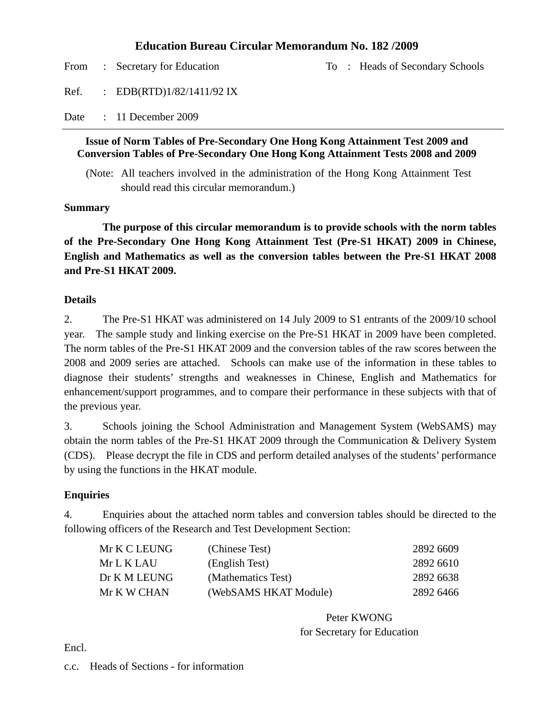### **Education Bureau Circular Memorandum No. 182 /2009**

From : Secretary for Education To : Heads of Secondary Schools Ref. : EDB(RTD)1/82/1411/92 IX Date : 11 December 2009

#### **Issue of Norm Tables of Pre-Secondary One Hong Kong Attainment Test 2009 and Conversion Tables of Pre-Secondary One Hong Kong Attainment Tests 2008 and 2009**

(Note: All teachers involved in the administration of the Hong Kong Attainment Test should read this circular memorandum.)

#### **Summary**

**The purpose of this circular memorandum is to provide schools with the norm tables of the Pre-Secondary One Hong Kong Attainment Test (Pre-S1 HKAT) 2009 in Chinese, English and Mathematics as well as the conversion tables between the Pre-S1 HKAT 2008 and Pre-S1 HKAT 2009.** 

#### **Details**

2. The Pre-S1 HKAT was administered on 14 July 2009 to S1 entrants of the 2009/10 school year. The sample study and linking exercise on the Pre-S1 HKAT in 2009 have been completed. The norm tables of the Pre-S1 HKAT 2009 and the conversion tables of the raw scores between the 2008 and 2009 series are attached. Schools can make use of the information in these tables to diagnose their students' strengths and weaknesses in Chinese, English and Mathematics for enhancement/support programmes, and to compare their performance in these subjects with that of the previous year.

3. Schools joining the School Administration and Management System (WebSAMS) may obtain the norm tables of the Pre-S1 HKAT 2009 through the Communication & Delivery System (CDS). Please decrypt the file in CDS and perform detailed analyses of the students' performance by using the functions in the HKAT module.

#### **Enquiries**

4. Enquiries about the attached norm tables and conversion tables should be directed to the following officers of the Research and Test Development Section:

| Mr K C LEUNG | (Chinese Test)        | 2892 6609 |
|--------------|-----------------------|-----------|
| Mr L K LAU-  | (English Test)        | 2892 6610 |
| Dr K M LEUNG | (Mathematics Test)    | 2892 6638 |
| Mr K W CHAN  | (WebSAMS HKAT Module) | 2892 6466 |

Peter KWONG for Secretary for Education

Encl.

c.c. Heads of Sections - for information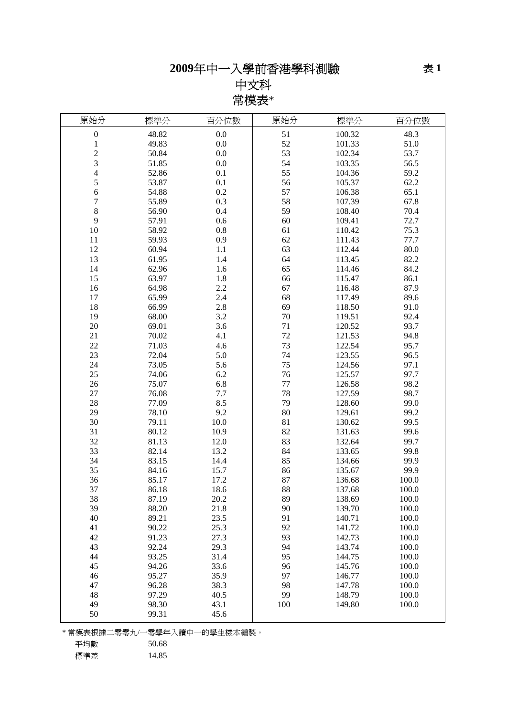# **2009**年中一入學前香港學科測驗

中文科 常模表\*

| 原始分                     | 標準分   | 百分位數 | 原始分     | 標準分    | 百分位數  |
|-------------------------|-------|------|---------|--------|-------|
| $\boldsymbol{0}$        | 48.82 | 0.0  | 51      | 100.32 | 48.3  |
| $\mathbf{1}$            | 49.83 | 0.0  | 52      | 101.33 | 51.0  |
| $\overline{c}$          | 50.84 | 0.0  | 53      | 102.34 | 53.7  |
| 3                       | 51.85 | 0.0  | 54      | 103.35 | 56.5  |
| $\overline{\mathbf{4}}$ | 52.86 | 0.1  | 55      | 104.36 | 59.2  |
| 5                       | 53.87 | 0.1  | 56      | 105.37 | 62.2  |
| $\epsilon$              | 54.88 | 0.2  | 57      | 106.38 | 65.1  |
| 7                       | 55.89 | 0.3  | 58      | 107.39 | 67.8  |
| $\,8\,$                 | 56.90 | 0.4  | 59      | 108.40 | 70.4  |
| 9                       | 57.91 | 0.6  | 60      | 109.41 | 72.7  |
| 10                      | 58.92 | 0.8  | 61      | 110.42 | 75.3  |
| 11                      | 59.93 | 0.9  | 62      | 111.43 | 77.7  |
| 12                      | 60.94 | 1.1  | 63      | 112.44 | 80.0  |
| 13                      | 61.95 | 1.4  | 64      | 113.45 | 82.2  |
| 14                      | 62.96 | 1.6  | 65      | 114.46 | 84.2  |
| 15                      | 63.97 | 1.8  | 66      | 115.47 | 86.1  |
| 16                      | 64.98 | 2.2  | 67      | 116.48 | 87.9  |
| 17                      | 65.99 | 2.4  | 68      | 117.49 | 89.6  |
| 18                      | 66.99 | 2.8  | 69      | 118.50 | 91.0  |
| 19                      | 68.00 | 3.2  | 70      | 119.51 | 92.4  |
| 20                      | 69.01 | 3.6  | 71      | 120.52 | 93.7  |
| 21                      | 70.02 | 4.1  | 72      | 121.53 | 94.8  |
| 22                      | 71.03 | 4.6  | 73      | 122.54 | 95.7  |
| 23                      | 72.04 | 5.0  | 74      | 123.55 | 96.5  |
| 24                      | 73.05 | 5.6  | 75      | 124.56 | 97.1  |
| 25                      | 74.06 | 6.2  | 76      | 125.57 | 97.7  |
| 26                      | 75.07 | 6.8  | $77 \,$ | 126.58 | 98.2  |
| 27                      | 76.08 | 7.7  | 78      | 127.59 | 98.7  |
| 28                      | 77.09 | 8.5  | 79      | 128.60 | 99.0  |
| 29                      | 78.10 | 9.2  | 80      | 129.61 | 99.2  |
| 30                      | 79.11 | 10.0 | 81      | 130.62 | 99.5  |
| 31                      | 80.12 | 10.9 | 82      | 131.63 | 99.6  |
| 32                      | 81.13 | 12.0 | 83      | 132.64 | 99.7  |
| 33                      | 82.14 | 13.2 | 84      | 133.65 | 99.8  |
| 34                      | 83.15 | 14.4 | 85      | 134.66 | 99.9  |
| 35                      | 84.16 | 15.7 | 86      | 135.67 | 99.9  |
| 36                      | 85.17 | 17.2 | 87      | 136.68 | 100.0 |
| 37                      | 86.18 | 18.6 | 88      | 137.68 | 100.0 |
| 38                      | 87.19 | 20.2 | 89      | 138.69 | 100.0 |
| 39                      | 88.20 | 21.8 | 90      | 139.70 | 100.0 |
| 40                      | 89.21 | 23.5 | 91      | 140.71 | 100.0 |
| 41                      | 90.22 | 25.3 | 92      | 141.72 | 100.0 |
| 42                      | 91.23 | 27.3 | 93      | 142.73 | 100.0 |
| 43                      | 92.24 | 29.3 | 94      | 143.74 | 100.0 |
| 44                      | 93.25 | 31.4 | 95      | 144.75 | 100.0 |
| 45                      | 94.26 | 33.6 | 96      | 145.76 | 100.0 |
| 46                      | 95.27 | 35.9 | 97      | 146.77 | 100.0 |
| 47                      | 96.28 | 38.3 | 98      | 147.78 | 100.0 |
| 48                      | 97.29 | 40.5 | 99      | 148.79 | 100.0 |
| 49                      | 98.30 | 43.1 | 100     | 149.80 | 100.0 |
| 50                      | 99.31 | 45.6 |         |        |       |
|                         |       |      |         |        |       |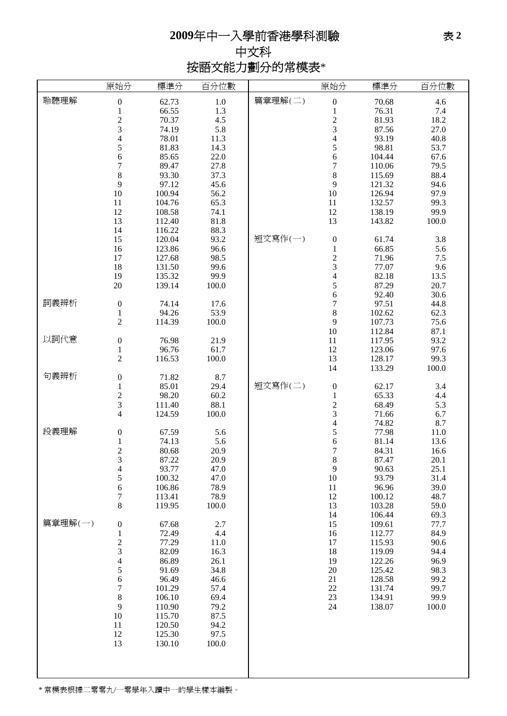## **2009**年中一入學前香港學科測驗

中文科 按語文能力劃分的常模表\*

|         | 原始分                      | 標準分    | 百分位數    |         | 原始分              | 標準分    | 百分位數  |
|---------|--------------------------|--------|---------|---------|------------------|--------|-------|
| 聆聽理解    | $\boldsymbol{0}$         | 62.73  | $1.0\,$ | 篇章理解(二) | $\boldsymbol{0}$ | 70.68  | 4.6   |
|         | 1                        | 66.55  | 1.3     |         | $\mathbf{1}$     | 76.31  | 7.4   |
|         |                          | 70.37  |         |         |                  | 81.93  | 18.2  |
|         | $\frac{2}{3}$            |        | 4.5     |         | $\frac{2}{3}$    |        |       |
|         |                          | 74.19  | 5.8     |         |                  | 87.56  | 27.0  |
|         | 4                        | 78.01  | 11.3    |         | $\overline{4}$   | 93.19  | 40.8  |
|         | 5                        | 81.83  | 14.3    |         | 5                | 98.81  | 53.7  |
|         | 6                        | 85.65  | 22.0    |         | 6                | 104.44 | 67.6  |
|         | $\sqrt{ }$               | 89.47  | 27.8    |         | $\overline{7}$   | 110.06 | 79.5  |
|         | $\,$ 8 $\,$              | 93.30  | 37.3    |         | 8                | 115.69 | 88.4  |
|         | 9                        | 97.12  | 45.6    |         | 9                | 121.32 | 94.6  |
|         | 10                       | 100.94 | 56.2    |         | 10               | 126.94 | 97.9  |
|         | 11                       | 104.76 | 65.3    |         | 11               | 132.57 | 99.3  |
|         | 12                       | 108.58 | 74.1    |         | 12               | 138.19 | 99.9  |
|         | 13                       | 112.40 | 81.8    |         | 13               | 143.82 | 100.0 |
|         | 14                       | 116.22 | 88.3    |         |                  |        |       |
|         | 15                       | 120.04 | 93.2    | 短文寫作(一) | $\boldsymbol{0}$ | 61.74  | 3.8   |
|         | 16                       | 123.86 | 96.6    |         | $\mathbf 1$      | 66.85  | 5.6   |
|         | 17                       | 127.68 | 98.5    |         |                  | 71.96  | 7.5   |
|         | 18                       | 131.50 | 99.6    |         | $\frac{2}{3}$    | 77.07  | 9.6   |
|         |                          |        |         |         |                  |        |       |
|         | 19                       | 135.32 | 99.9    |         | $\overline{4}$   | 82.18  | 13.5  |
|         | 20                       | 139.14 | 100.0   |         | 5                | 87.29  | 20.7  |
|         |                          |        |         |         | 6                | 92.40  | 30.6  |
| 詞義辨析    | $\boldsymbol{0}$         | 74.14  | 17.6    |         | $\overline{7}$   | 97.51  | 44.8  |
|         | 1                        | 94.26  | 53.9    |         | 8                | 102.62 | 62.3  |
|         | $\overline{c}$           | 114.39 | 100.0   |         | 9                | 107.73 | 75.6  |
|         |                          |        |         |         | 10               | 112.84 | 87.1  |
| 以詞代意    | $\boldsymbol{0}$         | 76.98  | 21.9    |         | 11               | 117.95 | 93.2  |
|         | $\mathbf{1}$             | 96.76  | 61.7    |         | 12               | 123.06 | 97.6  |
|         | $\overline{c}$           | 116.53 | 100.0   |         | 13               | 128.17 | 99.3  |
|         |                          |        |         |         | 14               | 133.29 | 100.0 |
| 句義辨析    | $\boldsymbol{0}$         | 71.82  | 8.7     |         |                  |        |       |
|         | 1                        | 85.01  | 29.4    | 短文寫作(二) | $\boldsymbol{0}$ | 62.17  | 3.4   |
|         | $\overline{\mathbf{c}}$  | 98.20  | 60.2    |         | $\mathbf 1$      | 65.33  | 4.4   |
|         | 3                        | 111.40 | 88.1    |         |                  | 68.49  | 5.3   |
|         | 4                        | 124.59 | 100.0   |         | $\frac{2}{3}$    | 71.66  | 6.7   |
|         |                          |        |         |         | $\overline{4}$   | 74.82  | 8.7   |
| 段義理解    | $\boldsymbol{0}$         | 67.59  | 5.6     |         | 5                | 77.98  | 11.0  |
|         | $\mathbf{1}$             | 74.13  | 5.6     |         | 6                | 81.14  | 13.6  |
|         | $\overline{c}$           | 80.68  | 20.9    |         | $\overline{7}$   | 84.31  | 16.6  |
|         | 3                        | 87.22  | 20.9    |         | 8                | 87.47  | 20.1  |
|         | $\overline{\mathcal{A}}$ | 93.77  | 47.0    |         | 9                | 90.63  | 25.1  |
|         | 5                        | 100.32 | 47.0    |         | 10               | 93.79  | 31.4  |
|         |                          | 106.86 | 78.9    |         |                  | 96.96  | 39.0  |
|         | $\sqrt{6}$               |        |         |         | 11               |        |       |
|         | $\overline{7}$           | 113.41 | 78.9    |         | 12               | 100.12 | 48.7  |
|         | 8                        | 119.95 | 100.0   |         | 13               | 103.28 | 59.0  |
|         |                          |        |         |         | 14               | 106.44 | 69.3  |
| 篇章理解(一) | $\boldsymbol{0}$         | 67.68  | 2.7     |         | 15               | 109.61 | 77.7  |
|         |                          | 72.49  | 4.4     |         | 16               | 112.77 | 84.9  |
|         | $\frac{1}{2}$ 3 4        | 77.29  | 11.0    |         | 17               | 115.93 | 90.6  |
|         |                          | 82.09  | 16.3    |         | 18               | 119.09 | 94.4  |
|         |                          | 86.89  | 26.1    |         | 19               | 122.26 | 96.9  |
|         | 5                        | 91.69  | 34.8    |         | 20               | 125.42 | 98.3  |
|         | $\sqrt{6}$               | 96.49  | 46.6    |         | 21               | 128.58 | 99.2  |
|         |                          | 101.29 | 57.4    |         | 22               | 131.74 | 99.7  |
|         | $7\atop{8}$              | 106.10 | 69.4    |         | 23               | 134.91 | 99.9  |
|         | 9                        | 110.90 | 79.2    |         | 24               | 138.07 | 100.0 |
|         | 10                       | 115.70 | 87.5    |         |                  |        |       |
|         | 11                       | 120.50 | 94.2    |         |                  |        |       |
|         | 12                       | 125.30 | 97.5    |         |                  |        |       |
|         | 13                       | 130.10 | 100.0   |         |                  |        |       |
|         |                          |        |         |         |                  |        |       |
|         |                          |        |         |         |                  |        |       |
|         |                          |        |         |         |                  |        |       |
|         |                          |        |         |         |                  |        |       |

\* 常模表根據二零零九/一零學年入讀中一的學生樣本編製。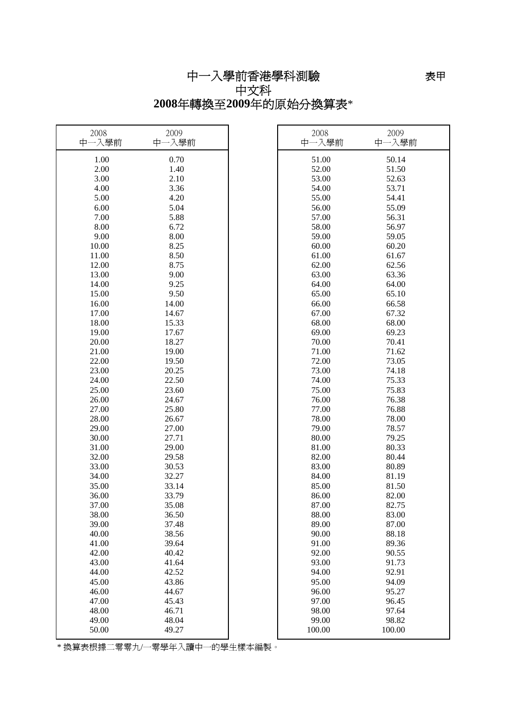中一入學前香港學科測驗 中文科 **2008**年轉換至**2009**年的原始分換算表\*

| 2008<br>中一入學前 | 2009<br>中一入學前 | 2008<br>中一入學前 | 2009<br>中一入學前 |
|---------------|---------------|---------------|---------------|
| 1.00          | 0.70          | 51.00         | 50.14         |
| 2.00          | 1.40          | 52.00         | 51.50         |
| 3.00          | 2.10          | 53.00         | 52.63         |
| 4.00          | 3.36          | 54.00         | 53.71         |
| 5.00          | 4.20          | 55.00         | 54.41         |
| 6.00          | 5.04          | 56.00         | 55.09         |
| 7.00          | 5.88          | 57.00         | 56.31         |
| 8.00          | 6.72          | 58.00         | 56.97         |
| 9.00          | 8.00          | 59.00         | 59.05         |
| 10.00         | 8.25          | 60.00         | 60.20         |
| 11.00         | 8.50          | 61.00         | 61.67         |
| 12.00         | 8.75          | 62.00         | 62.56         |
| 13.00         | 9.00          | 63.00         | 63.36         |
| 14.00         | 9.25          | 64.00         | 64.00         |
| 15.00         | 9.50          | 65.00         | 65.10         |
| 16.00         | 14.00         | 66.00         | 66.58         |
| 17.00         | 14.67         | 67.00         | 67.32         |
| 18.00         | 15.33         | 68.00         | 68.00         |
| 19.00         | 17.67         | 69.00         | 69.23         |
| 20.00         | 18.27         | 70.00         | 70.41         |
| 21.00         | 19.00         | 71.00         | 71.62         |
| 22.00         | 19.50         | 72.00         | 73.05         |
| 23.00         | 20.25         | 73.00         | 74.18         |
| 24.00         | 22.50         | 74.00         | 75.33         |
| 25.00         | 23.60         | 75.00         | 75.83         |
| 26.00         | 24.67         | 76.00         | 76.38         |
| 27.00         | 25.80         | 77.00         | 76.88         |
| 28.00         | 26.67         | 78.00         | 78.00         |
| 29.00         | 27.00         | 79.00         | 78.57         |
| 30.00         | 27.71         | 80.00         | 79.25         |
| 31.00         | 29.00         | 81.00         | 80.33         |
| 32.00         | 29.58         | 82.00         | 80.44         |
| 33.00         | 30.53         | 83.00         | 80.89         |
| 34.00         | 32.27         | 84.00         | 81.19         |
| 35.00         | 33.14         | 85.00         | 81.50         |
| 36.00         | 33.79         | 86.00         | 82.00         |
| 37.00         | 35.08         | 87.00         | 82.75         |

38.00 36.50 88.00 83.00 39.00 37.48 and 37.48 and 39.00 87.00 40.00 38.56 90.00 88.18 41.00 39.64 | 91.00 89.36 42.00 40.42 and 40.42 and 40.42 and 40.42 and 40.42 and 40.42 and 40.42 and 40.42 and 40.42 and 40.55 and 40.42 43.00 41.64  $\vert$  93.00 91.73 44.00 42.52  $\vert$  94.00 92.91 45.00 43.86 and 43.86 and 45.00 94.09

46.00 44.67 96.00 95.27 47.00 45.43 97.00 96.45 48.00 46.71 | 98.00 97.64 49.00 48.04 | 99.00 98.82 50.00 49.27 100.00 100.00

\* 換算表根據二零零九/一零學年入讀中一的學生樣本編製。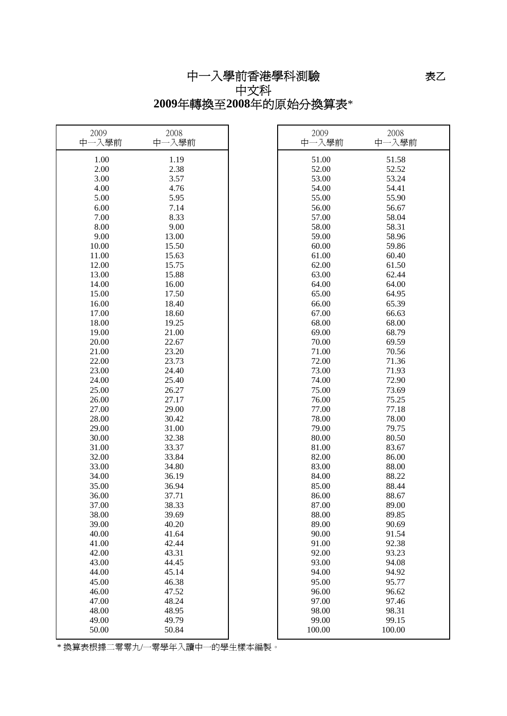中一入學前香港學科測驗 中文科

**2009**年轉換至**2008**年的原始分換算表\*

| 2009<br>中一入學前  | 2008<br>中一入學前  | 2009<br>中一入學前  | 2008<br>中一入學前  |
|----------------|----------------|----------------|----------------|
| 1.00           | 1.19           | 51.00          | 51.58          |
| 2.00           | 2.38           | 52.00          | 52.52          |
| 3.00           | 3.57           | 53.00          | 53.24          |
| 4.00           | 4.76           | 54.00          | 54.41          |
| 5.00           | 5.95           | 55.00          | 55.90          |
| 6.00           | 7.14           | 56.00          | 56.67          |
| 7.00           | 8.33           | 57.00          | 58.04          |
| 8.00           | 9.00           | 58.00          | 58.31          |
| 9.00           | 13.00          | 59.00          | 58.96          |
| 10.00          | 15.50          | 60.00          | 59.86          |
| 11.00          | 15.63          | 61.00          | 60.40          |
| 12.00          | 15.75          | 62.00          | 61.50          |
| 13.00          | 15.88          | 63.00          | 62.44          |
| 14.00          | 16.00          | 64.00          | 64.00          |
| 15.00          | 17.50          | 65.00          | 64.95          |
| 16.00          | 18.40          | 66.00          | 65.39          |
| 17.00          | 18.60          | 67.00          | 66.63          |
| 18.00          | 19.25          | 68.00          | 68.00          |
| 19.00          | 21.00          | 69.00          | 68.79          |
| 20.00          | 22.67          | 70.00          | 69.59          |
| 21.00          | 23.20          | 71.00          | 70.56          |
| 22.00          | 23.73          | 72.00          | 71.36          |
| 23.00          | 24.40          | 73.00          | 71.93          |
| 24.00          | 25.40          | 74.00          | 72.90          |
| 25.00          | 26.27          | 75.00          | 73.69          |
| 26.00          | 27.17          | 76.00          | 75.25          |
| 27.00          | 29.00          | 77.00          | 77.18          |
| 28.00          | 30.42          | 78.00          | 78.00          |
| 29.00          | 31.00          | 79.00          | 79.75          |
| 30.00          | 32.38          | 80.00          | 80.50          |
| 31.00          | 33.37          | 81.00          | 83.67          |
| 32.00          | 33.84          | 82.00          | 86.00          |
| 33.00          | 34.80          | 83.00          | 88.00          |
| 34.00          | 36.19          | 84.00          | 88.22          |
| 35.00          | 36.94          | 85.00          | 88.44          |
| 36.00          | 37.71          | 86.00          | 88.67          |
| 37.00          | 38.33          | 87.00          | 89.00          |
| 38.00          | 39.69          | 88.00          | 89.85          |
| 39.00<br>40.00 | 40.20          | 89.00<br>90.00 | 90.69          |
|                | 41.64          |                | 91.54          |
| 41.00<br>42.00 | 42.44<br>43.31 | 91.00<br>92.00 | 92.38<br>93.23 |
| 43.00          | 44.45          | 93.00          | 94.08          |
| 44.00          | 45.14          | 94.00          | 94.92          |
| 45.00          | 46.38          | 95.00          | 95.77          |
| 46.00          | 47.52          | 96.00          | 96.62          |
| 47.00          | 48.24          | 97.00          | 97.46          |
| 48.00          | 48.95          | 98.00          | 98.31          |
| 49.00          | 49.79          | 99.00          | 99.15          |
| 50.00          | 50.84          | 100.00         | 100.00         |
|                |                |                |                |

\* 換算表根據二零零九/一零學年入讀中一的學生樣本編製。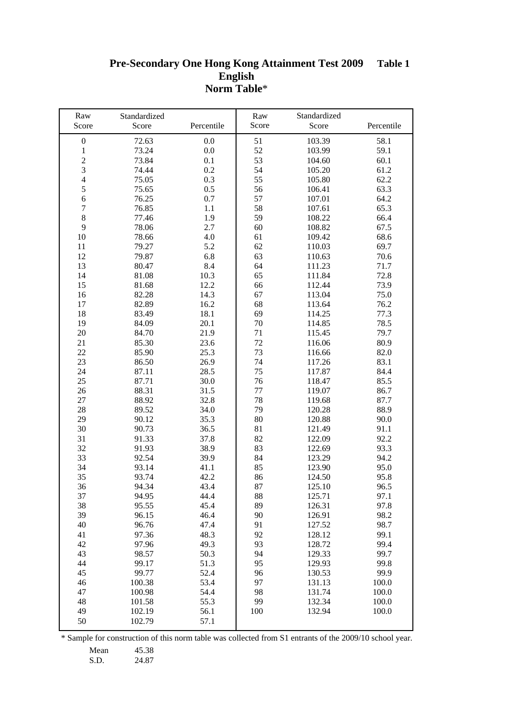#### **Pre-Secondary One Hong Kong Attainment Test 2009 English Norm Table**\* **Table 1**

| Raw<br>Score            | Standardized<br>Score | Percentile | Raw<br>Score | Standardized<br>Score | Percentile |
|-------------------------|-----------------------|------------|--------------|-----------------------|------------|
| $\boldsymbol{0}$        | 72.63                 | 0.0        | 51           | 103.39                | 58.1       |
| $\,1$                   | 73.24                 | 0.0        | 52           | 103.99                | 59.1       |
| $\overline{c}$          | 73.84                 | 0.1        | 53           | 104.60                | 60.1       |
| $\overline{\mathbf{3}}$ | 74.44                 | 0.2        | 54           | 105.20                | 61.2       |
| $\overline{4}$          | 75.05                 | 0.3        | 55           | 105.80                | 62.2       |
| 5                       |                       |            | 56           |                       |            |
|                         | 75.65                 | 0.5        |              | 106.41                | 63.3       |
| $\sqrt{6}$              | 76.25                 | 0.7        | 57           | 107.01                | 64.2       |
| $\boldsymbol{7}$        | 76.85                 | 1.1        | 58           | 107.61                | 65.3       |
| $\,8\,$                 | 77.46                 | 1.9        | 59           | 108.22                | 66.4       |
| 9                       | 78.06                 | 2.7        | 60           | 108.82                | 67.5       |
| 10                      | 78.66                 | 4.0        | 61           | 109.42                | 68.6       |
| 11                      | 79.27                 | 5.2        | 62           | 110.03                | 69.7       |
| 12                      | 79.87                 | 6.8        | 63           | 110.63                | 70.6       |
| 13                      | 80.47                 | 8.4        | 64           | 111.23                | 71.7       |
| 14                      | 81.08                 | 10.3       | 65           | 111.84                | 72.8       |
| 15                      | 81.68                 | 12.2       | 66           | 112.44                | 73.9       |
| 16                      | 82.28                 | 14.3       | 67           | 113.04                | 75.0       |
| 17                      | 82.89                 | 16.2       | 68           | 113.64                | 76.2       |
| 18                      | 83.49                 | 18.1       | 69           | 114.25                | 77.3       |
| 19                      | 84.09                 | 20.1       | 70           | 114.85                | 78.5       |
| 20                      | 84.70                 | 21.9       | 71           | 115.45                | 79.7       |
| 21                      | 85.30                 | 23.6       | 72           | 116.06                | 80.9       |
| 22                      | 85.90                 | 25.3       | 73           | 116.66                | 82.0       |
| 23                      | 86.50                 | 26.9       | 74           | 117.26                | 83.1       |
| 24                      | 87.11                 | 28.5       | 75           | 117.87                | 84.4       |
| 25                      | 87.71                 | 30.0       | 76           | 118.47                | 85.5       |
| 26                      | 88.31                 | 31.5       | 77           | 119.07                | 86.7       |
| 27                      | 88.92                 | 32.8       | 78           | 119.68                | 87.7       |
| 28                      | 89.52                 | 34.0       | 79           | 120.28                | 88.9       |
| 29                      | 90.12                 | 35.3       | 80           | 120.88                | 90.0       |
| 30                      | 90.73                 | 36.5       | 81           | 121.49                | 91.1       |
| 31                      | 91.33                 | 37.8       | 82           | 122.09                | 92.2       |
| 32                      | 91.93                 | 38.9       | 83           | 122.69                | 93.3       |
| 33                      | 92.54                 | 39.9       | 84           | 123.29                | 94.2       |
| 34                      | 93.14                 | 41.1       | 85           | 123.90                | 95.0       |
| 35                      | 93.74                 | 42.2       | 86           | 124.50                | 95.8       |
| 36                      | 94.34                 | 43.4       | 87           | 125.10                | 96.5       |
| 37                      | 94.95                 | 44.4       | 88           | 125.71                | 97.1       |
| 38                      | 95.55                 | 45.4       | 89           | 126.31                | 97.8       |
| 39                      | 96.15                 | 46.4       | 90           | 126.91                | 98.2       |
| 40                      | 96.76                 | 47.4       | 91           | 127.52                | 98.7       |
| 41                      | 97.36                 | 48.3       | 92           | 128.12                | 99.1       |
| 42                      | 97.96                 | 49.3       | 93           | 128.72                | 99.4       |
| 43                      | 98.57                 | 50.3       | 94           | 129.33                | 99.7       |
| 44                      | 99.17                 | 51.3       | 95           | 129.93                | 99.8       |
| 45                      | 99.77                 | 52.4       | 96           | 130.53                | 99.9       |
| 46                      | 100.38                | 53.4       | 97           | 131.13                | 100.0      |
| 47                      | 100.98                | 54.4       | 98           | 131.74                | 100.0      |
| 48                      | 101.58                | 55.3       | 99           | 132.34                | 100.0      |
| 49                      | 102.19                | 56.1       | 100          | 132.94                | 100.0      |
| 50                      | 102.79                | 57.1       |              |                       |            |
|                         |                       |            |              |                       |            |

\* Sample for construction of this norm table was collected from S1 entrants of the 2009/10 school year.

Mean 45.38

S.D. 24.87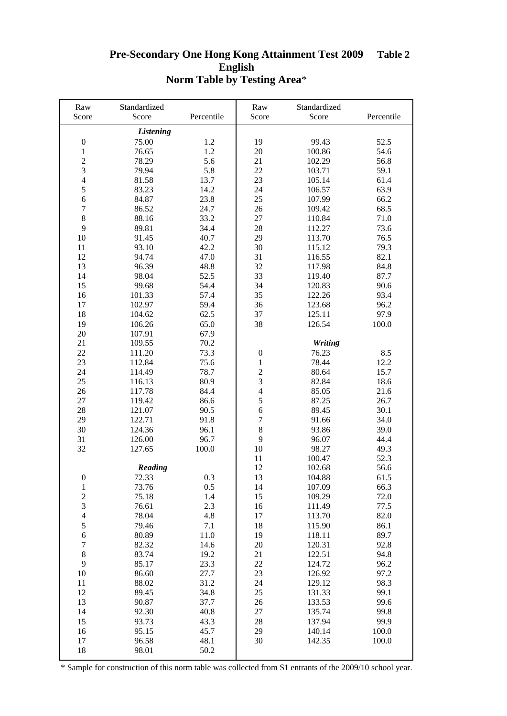#### **Pre-Secondary One Hong Kong Attainment Test 2009 English Norm Table by Testing Area**\* **Table 2**

| Raw              | Standardized     |            | Raw              | Standardized   |            |
|------------------|------------------|------------|------------------|----------------|------------|
| Score            | Score            | Percentile | Score            | Score          | Percentile |
|                  | <b>Listening</b> |            |                  |                |            |
| $\boldsymbol{0}$ | 75.00            | 1.2        | 19               | 99.43          | 52.5       |
| $\,1$            | 76.65            | 1.2        | 20               | 100.86         | 54.6       |
|                  | 78.29            | 5.6        | 21               | 102.29         | 56.8       |
| $\frac{2}{3}$    | 79.94            | 5.8        | 22               | 103.71         | 59.1       |
| $\overline{4}$   | 81.58            | 13.7       | 23               | 105.14         | 61.4       |
| 5                | 83.23            | 14.2       | 24               | 106.57         | 63.9       |
| $\epsilon$       | 84.87            | 23.8       | 25               | 107.99         | 66.2       |
| $\boldsymbol{7}$ | 86.52            | 24.7       | 26               | 109.42         | 68.5       |
| $\,8\,$          | 88.16            | 33.2       | 27               | 110.84         | 71.0       |
| 9                | 89.81            | 34.4       | 28               | 112.27         | 73.6       |
| 10               | 91.45            | 40.7       | 29               | 113.70         | 76.5       |
| 11               | 93.10            | 42.2       | 30               | 115.12         | 79.3       |
| 12               | 94.74            | 47.0       | 31               | 116.55         | 82.1       |
| 13               | 96.39            | 48.8       | 32               | 117.98         | 84.8       |
| 14               | 98.04            | 52.5       | 33               | 119.40         | 87.7       |
| 15               | 99.68            | 54.4       | 34               | 120.83         | 90.6       |
| 16               | 101.33           | 57.4       | 35               | 122.26         | 93.4       |
| 17               | 102.97           | 59.4       | 36               | 123.68         | 96.2       |
| 18               | 104.62           | 62.5       | 37               | 125.11         | 97.9       |
| 19               | 106.26           | 65.0       | 38               | 126.54         | 100.0      |
| 20               | 107.91           | 67.9       |                  |                |            |
| 21               | 109.55           | 70.2       |                  | <b>Writing</b> |            |
| 22               | 111.20           | 73.3       | $\boldsymbol{0}$ | 76.23          | 8.5        |
| 23               | 112.84           | 75.6       | $\mathbf{1}$     | 78.44          | 12.2       |
| 24               | 114.49           | 78.7       |                  | 80.64          | 15.7       |
| 25               | 116.13           | 80.9       | $\frac{2}{3}$    | 82.84          | 18.6       |
| 26               | 117.78           | 84.4       | $\overline{4}$   | 85.05          | 21.6       |
| 27               | 119.42           | 86.6       | 5                | 87.25          | 26.7       |
| 28               | 121.07           | 90.5       | 6                | 89.45          | 30.1       |
| 29               | 122.71           | 91.8       | $\boldsymbol{7}$ | 91.66          | 34.0       |
| 30               | 124.36           | 96.1       | $\,8\,$          | 93.86          | 39.0       |
| 31               | 126.00           | 96.7       | 9                | 96.07          | 44.4       |
| 32               | 127.65           | 100.0      | 10               | 98.27          | 49.3       |
|                  |                  |            | 11               | 100.47         | 52.3       |
|                  | Reading          |            | 12               | 102.68         | 56.6       |
| $\boldsymbol{0}$ | 72.33            | 0.3        | 13               | 104.88         | 61.5       |
| 1                | 73.76            | 0.5        | 14               | 107.09         | 66.3       |
| $\overline{c}$   | 75.18            | 1.4        | 15               | 109.29         | 72.0       |
| $\mathfrak{Z}$   | 76.61            | 2.3        | 16               | 111.49         | 77.5       |
| $\overline{4}$   | 78.04            | 4.8        | 17               | 113.70         | 82.0       |
| $\sqrt{5}$       | 79.46            | 7.1        | 18               | 115.90         | 86.1       |
| $\sqrt{6}$       | 80.89            | 11.0       | 19               | 118.11         | 89.7       |
| $\tau$           | 82.32            | 14.6       | 20               | 120.31         | 92.8       |
| $\,8\,$          | 83.74            | 19.2       | 21               | 122.51         | 94.8       |
| 9                | 85.17            | 23.3       | 22               | 124.72         | 96.2       |
| 10               | 86.60            | 27.7       | 23               | 126.92         | 97.2       |
| 11               | 88.02            | 31.2       | 24               | 129.12         | 98.3       |
| 12               | 89.45            | 34.8       | 25               | 131.33         | 99.1       |
| 13               | 90.87            | 37.7       | 26               | 133.53         | 99.6       |
| 14               | 92.30            | 40.8       | 27               | 135.74         | 99.8       |
| 15               | 93.73            | 43.3       | 28               | 137.94         | 99.9       |
| 16               | 95.15            | 45.7       | 29               | 140.14         | 100.0      |
| 17               | 96.58            | 48.1       | 30               | 142.35         | 100.0      |
| 18               | 98.01            | 50.2       |                  |                |            |
|                  |                  |            |                  |                |            |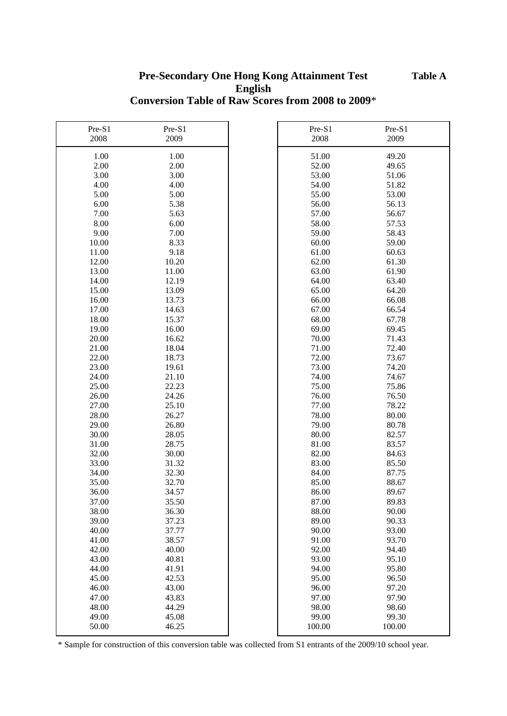## **Pre-Secondary One Hong Kong Attainment Test English Conversion Table of Raw Scores from 2008 to 2009**\*

| Pre-S1 | Pre-S1 | Pre-S1 | Pre-S1 |
|--------|--------|--------|--------|
| 2008   | 2009   | 2008   | 2009   |
| 1.00   | 1.00   | 51.00  | 49.20  |
| 2.00   | 2.00   | 52.00  | 49.65  |
| 3.00   | 3.00   | 53.00  | 51.06  |
| 4.00   | 4.00   | 54.00  | 51.82  |
| 5.00   | 5.00   | 55.00  | 53.00  |
| 6.00   | 5.38   | 56.00  | 56.13  |
| 7.00   | 5.63   | 57.00  | 56.67  |
| 8.00   | 6.00   | 58.00  | 57.53  |
| 9.00   | 7.00   | 59.00  | 58.43  |
| 10.00  | 8.33   | 60.00  | 59.00  |
| 11.00  | 9.18   | 61.00  | 60.63  |
| 12.00  | 10.20  | 62.00  | 61.30  |
| 13.00  | 11.00  | 63.00  | 61.90  |
| 14.00  | 12.19  | 64.00  | 63.40  |
| 15.00  | 13.09  | 65.00  | 64.20  |
| 16.00  | 13.73  | 66.00  | 66.08  |
| 17.00  | 14.63  | 67.00  | 66.54  |
| 18.00  | 15.37  | 68.00  | 67.78  |
| 19.00  | 16.00  | 69.00  | 69.45  |
| 20.00  | 16.62  | 70.00  | 71.43  |
| 21.00  | 18.04  | 71.00  | 72.40  |
| 22.00  | 18.73  | 72.00  | 73.67  |
| 23.00  | 19.61  | 73.00  | 74.20  |
| 24.00  | 21.10  | 74.00  | 74.67  |
| 25.00  | 22.23  | 75.00  | 75.86  |
| 26.00  | 24.26  | 76.00  | 76.50  |
| 27.00  | 25.10  | 77.00  | 78.22  |
| 28.00  | 26.27  | 78.00  | 80.00  |
| 29.00  | 26.80  | 79.00  | 80.78  |
| 30.00  | 28.05  | 80.00  | 82.57  |
| 31.00  | 28.75  | 81.00  | 83.57  |
| 32.00  | 30.00  | 82.00  | 84.63  |
| 33.00  | 31.32  | 83.00  | 85.50  |
| 34.00  | 32.30  | 84.00  | 87.75  |
| 35.00  | 32.70  | 85.00  | 88.67  |
| 36.00  | 34.57  | 86.00  | 89.67  |
| 37.00  | 35.50  | 87.00  | 89.83  |
| 38.00  | 36.30  | 88.00  | 90.00  |
| 39.00  | 37.23  | 89.00  | 90.33  |
| 40.00  | 37.77  | 90.00  | 93.00  |
| 41.00  | 38.57  | 91.00  | 93.70  |
| 42.00  | 40.00  | 92.00  | 94.40  |
| 43.00  | 40.81  | 93.00  | 95.10  |
| 44.00  | 41.91  | 94.00  | 95.80  |
| 45.00  | 42.53  | 95.00  | 96.50  |
| 46.00  | 43.00  | 96.00  | 97.20  |
| 47.00  | 43.83  | 97.00  | 97.90  |
| 48.00  | 44.29  | 98.00  | 98.60  |
| 49.00  | 45.08  | 99.00  | 99.30  |
| 50.00  | 46.25  | 100.00 | 100.00 |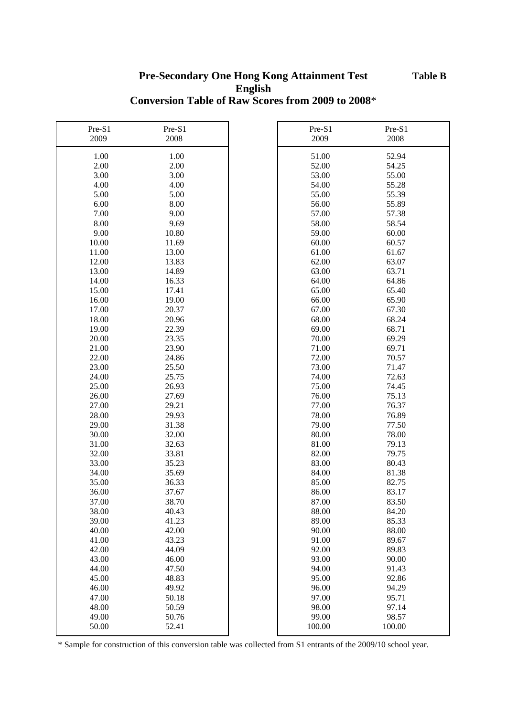## **Pre-Secondary One Hong Kong Attainment Test English Conversion Table of Raw Scores from 2009 to 2008**\*

| Pre-S1 | Pre-S1 | Pre-S1 | Pre-S1 |
|--------|--------|--------|--------|
| 2009   | 2008   | 2009   | 2008   |
| 1.00   | 1.00   | 51.00  | 52.94  |
| 2.00   | 2.00   | 52.00  | 54.25  |
| 3.00   | 3.00   | 53.00  | 55.00  |
| 4.00   | 4.00   | 54.00  | 55.28  |
| 5.00   | 5.00   | 55.00  | 55.39  |
| 6.00   | 8.00   | 56.00  | 55.89  |
| 7.00   | 9.00   | 57.00  | 57.38  |
| 8.00   | 9.69   | 58.00  | 58.54  |
| 9.00   | 10.80  | 59.00  | 60.00  |
| 10.00  | 11.69  | 60.00  | 60.57  |
| 11.00  | 13.00  | 61.00  | 61.67  |
| 12.00  | 13.83  | 62.00  | 63.07  |
| 13.00  | 14.89  | 63.00  | 63.71  |
| 14.00  | 16.33  | 64.00  | 64.86  |
| 15.00  | 17.41  | 65.00  | 65.40  |
| 16.00  | 19.00  | 66.00  | 65.90  |
| 17.00  | 20.37  | 67.00  | 67.30  |
| 18.00  | 20.96  | 68.00  | 68.24  |
| 19.00  | 22.39  | 69.00  | 68.71  |
| 20.00  | 23.35  | 70.00  | 69.29  |
| 21.00  | 23.90  | 71.00  | 69.71  |
| 22.00  | 24.86  | 72.00  | 70.57  |
| 23.00  | 25.50  | 73.00  | 71.47  |
| 24.00  | 25.75  | 74.00  | 72.63  |
| 25.00  | 26.93  | 75.00  | 74.45  |
| 26.00  | 27.69  | 76.00  | 75.13  |
| 27.00  | 29.21  | 77.00  | 76.37  |
| 28.00  | 29.93  | 78.00  | 76.89  |
| 29.00  | 31.38  | 79.00  | 77.50  |
| 30.00  | 32.00  | 80.00  | 78.00  |
| 31.00  | 32.63  | 81.00  | 79.13  |
| 32.00  | 33.81  | 82.00  | 79.75  |
| 33.00  | 35.23  | 83.00  | 80.43  |
| 34.00  | 35.69  | 84.00  | 81.38  |
| 35.00  | 36.33  | 85.00  | 82.75  |
| 36.00  | 37.67  | 86.00  | 83.17  |
| 37.00  | 38.70  | 87.00  | 83.50  |
| 38.00  | 40.43  | 88.00  | 84.20  |
| 39.00  | 41.23  | 89.00  | 85.33  |
| 40.00  | 42.00  | 90.00  | 88.00  |
| 41.00  | 43.23  | 91.00  | 89.67  |
| 42.00  | 44.09  | 92.00  | 89.83  |
| 43.00  | 46.00  | 93.00  | 90.00  |
| 44.00  | 47.50  | 94.00  | 91.43  |
| 45.00  | 48.83  | 95.00  | 92.86  |
| 46.00  | 49.92  | 96.00  | 94.29  |
| 47.00  | 50.18  | 97.00  | 95.71  |
| 48.00  | 50.59  | 98.00  | 97.14  |
| 49.00  | 50.76  | 99.00  | 98.57  |
| 50.00  | 52.41  | 100.00 | 100.00 |
|        |        |        |        |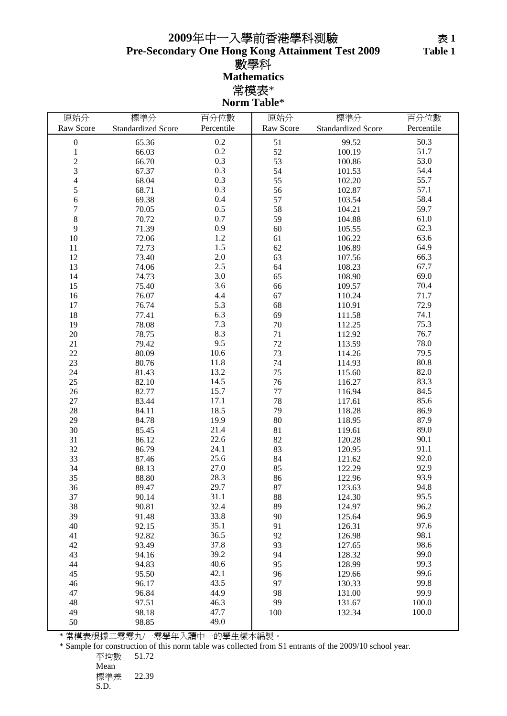## **Pre-Secondary One Hong Kong Attainment Test 2009** 數學科 **Mathematics** 常模表\* **Norm Table**\* 年中一入學前香港學科測驗

| 原始分              | 標準分                       | 百分位數       | 原始分       | 標準分                       | 百分位數       |
|------------------|---------------------------|------------|-----------|---------------------------|------------|
| Raw Score        | <b>Standardized Score</b> | Percentile | Raw Score | <b>Standardized Score</b> | Percentile |
|                  |                           |            |           |                           |            |
| $\boldsymbol{0}$ | 65.36                     | 0.2        | 51        | 99.52                     | 50.3       |
| $\mathbf{1}$     | 66.03                     | 0.2        | 52        | 100.19                    | 51.7       |
| $\overline{c}$   | 66.70                     | 0.3        | 53        | 100.86                    | 53.0       |
| 3                | 67.37                     | 0.3        | 54        | 101.53                    | 54.4       |
| $\overline{4}$   | 68.04                     | 0.3        | 55        | 102.20                    | 55.7       |
| 5                | 68.71                     | 0.3        | 56        | 102.87                    | 57.1       |
| 6                | 69.38                     | 0.4        | 57        | 103.54                    | 58.4       |
| $\overline{7}$   | 70.05                     | 0.5        | 58        | 104.21                    | 59.7       |
| 8                | 70.72                     | 0.7        | 59        | 104.88                    | 61.0       |
| 9                | 71.39                     | 0.9        | 60        | 105.55                    | 62.3       |
| 10               | 72.06                     | 1.2        | 61        | 106.22                    | 63.6       |
| 11               | 72.73                     | 1.5        | 62        | 106.89                    | 64.9       |
| 12               | 73.40                     | $2.0\,$    | 63        | 107.56                    | 66.3       |
| 13               | 74.06                     | 2.5        | 64        | 108.23                    | 67.7       |
| 14               | 74.73                     | 3.0        | 65        | 108.90                    | 69.0       |
| 15               | 75.40                     | 3.6        | 66        | 109.57                    | 70.4       |
| 16               | 76.07                     | 4.4        | 67        | 110.24                    | 71.7       |
| 17               | 76.74                     | 5.3        | 68        | 110.91                    | 72.9       |
| 18               | 77.41                     | 6.3        | 69        | 111.58                    | 74.1       |
| 19               | 78.08                     | 7.3        | $70\,$    | 112.25                    | 75.3       |
| $20\,$           | 78.75                     | 8.3        | $71\,$    | 112.92                    | 76.7       |
| 21               | 79.42                     | 9.5        | 72        | 113.59                    | 78.0       |
| 22               | 80.09                     | 10.6       | 73        | 114.26                    | 79.5       |
| 23               | 80.76                     | 11.8       | 74        | 114.93                    | 80.8       |
| 24               | 81.43                     | 13.2       | 75        | 115.60                    | 82.0       |
| 25               | 82.10                     | 14.5       | 76        | 116.27                    | 83.3       |
| 26               | 82.77                     | 15.7       | $77 \,$   | 116.94                    | 84.5       |
| 27               | 83.44                     | 17.1       | 78        | 117.61                    | 85.6       |
| 28               | 84.11                     | 18.5       | 79        | 118.28                    | 86.9       |
| 29               | 84.78                     | 19.9       | 80        | 118.95                    | 87.9       |
| 30               | 85.45                     | 21.4       | 81        | 119.61                    | 89.0       |
| 31               | 86.12                     | 22.6       | 82        | 120.28                    | 90.1       |
| 32               | 86.79                     | 24.1       | 83        | 120.95                    | 91.1       |
| 33               | 87.46                     | 25.6       | 84        | 121.62                    | 92.0       |
| 34               | 88.13                     | 27.0       | 85        | 122.29                    | 92.9       |
| 35               | 88.80                     | 28.3       | 86        | 122.96                    | 93.9       |
| 36               | 89.47                     | 29.7       | 87        | 123.63                    | 94.8       |
| 37               | 90.14                     | 31.1       | 88        | 124.30                    | 95.5       |
| 38               | 90.81                     | 32.4       | 89        | 124.97                    | 96.2       |
| 39               | 91.48                     | 33.8       | 90        | 125.64                    | 96.9       |
| 40               | 92.15                     | 35.1       | 91        | 126.31                    | 97.6       |
| 41               | 92.82                     | 36.5       | 92        | 126.98                    | 98.1       |
| 42               | 93.49                     | 37.8       | 93        | 127.65                    | 98.6       |
| 43               | 94.16                     | 39.2       | 94        | 128.32                    | 99.0       |
| 44               | 94.83                     | 40.6       | 95        | 128.99                    | 99.3       |
| 45               | 95.50                     | 42.1       | 96        | 129.66                    | 99.6       |
| 46               | 96.17                     | 43.5       | 97        | 130.33                    | 99.8       |
| 47               | 96.84                     | 44.9       | 98        | 131.00                    | 99.9       |
| 48               | 97.51                     | 46.3       | 99        | 131.67                    | 100.0      |
| 49               | 98.18                     | 47.7       | 100       | 132.34                    | 100.0      |
| 50               | 98.85                     | 49.0       |           |                           |            |
|                  |                           |            |           |                           |            |

\* 常模表根據二零零九/一零學年入讀中一的學生樣本編製。

\* Sample for construction of this norm table was collected from S1 entrants of the 2009/10 school year.

平均數 51.72

Mean 標準差 22.39

S.D.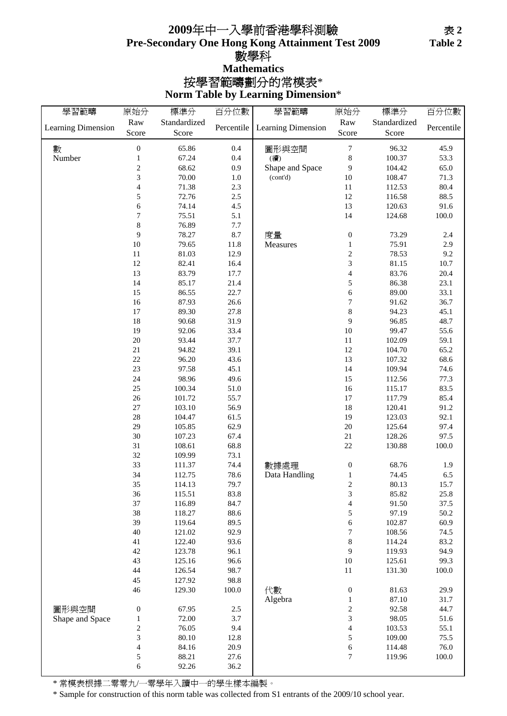## **Pre-Secondary One Hong Kong Attainment Test 2009** 按學習範疇劃分的常模表\* **Mathematics 2009**年中一入學前香港學科測驗 數學科

**Norm Table by Learning Dimension**\*

| 學習範疇               | 原始分              | 標準分          | 百分位數       | 學習範疇               | 原始分                     | 標準分          | 百分位數       |
|--------------------|------------------|--------------|------------|--------------------|-------------------------|--------------|------------|
| Learning Dimension | Raw              | Standardized | Percentile | Learning Dimension | Raw                     | Standardized | Percentile |
|                    | Score            | Score        |            |                    | Score                   | Score        |            |
| 數                  | $\boldsymbol{0}$ | 65.86        | 0.4        | 圖形與空間              | $\boldsymbol{7}$        | 96.32        | 45.9       |
| Number             | $\mathbf{1}$     | 67.24        | 0.4        | (續)                | $\,8$                   | 100.37       | 53.3       |
|                    | $\overline{2}$   | 68.62        | 0.9        | Shape and Space    | 9                       | 104.42       | 65.0       |
|                    | 3                | 70.00        | 1.0        | (cont'd)           | 10                      | 108.47       | 71.3       |
|                    | 4                | 71.38        | 2.3        |                    | 11                      | 112.53       | $80.4\,$   |
|                    | 5                | 72.76        | 2.5        |                    | 12                      |              | 88.5       |
|                    |                  |              |            |                    |                         | 116.58       |            |
|                    | 6                | 74.14        | 4.5        |                    | 13                      | 120.63       | 91.6       |
|                    | 7                | 75.51        | 5.1        |                    | 14                      | 124.68       | 100.0      |
|                    | 8                | 76.89        | 7.7        |                    |                         |              |            |
|                    | 9                | 78.27        | 8.7        | 度量                 | $\boldsymbol{0}$        | 73.29        | 2.4        |
|                    | 10               | 79.65        | 11.8       | Measures           | $\,1$                   | 75.91        | 2.9        |
|                    | $11\,$           | 81.03        | 12.9       |                    | $\overline{\mathbf{c}}$ | 78.53        | 9.2        |
|                    | 12               | 82.41        | 16.4       |                    | 3                       | 81.15        | $10.7\,$   |
|                    | 13               | 83.79        | 17.7       |                    | $\overline{\mathbf{4}}$ | 83.76        | 20.4       |
|                    | 14               | 85.17        | 21.4       |                    | 5                       | 86.38        | 23.1       |
|                    | 15               | 86.55        | 22.7       |                    | $\sqrt{6}$              | 89.00        | 33.1       |
|                    | 16               | 87.93        | 26.6       |                    | $\sqrt{ }$              | 91.62        | 36.7       |
|                    | 17               | 89.30        | 27.8       |                    | $\,8$                   | 94.23        | 45.1       |
|                    | 18               | 90.68        | 31.9       |                    | $\boldsymbol{9}$        | 96.85        | 48.7       |
|                    | 19               | 92.06        | 33.4       |                    | 10                      | 99.47        | 55.6       |
|                    | $20\,$           | 93.44        | 37.7       |                    | $11\,$                  | 102.09       | 59.1       |
|                    | $21\,$           | 94.82        | 39.1       |                    | 12                      | 104.70       | 65.2       |
|                    | 22               | 96.20        | 43.6       |                    | 13                      | 107.32       | 68.6       |
|                    | 23               | 97.58        | 45.1       |                    | 14                      | 109.94       | 74.6       |
|                    | 24               | 98.96        | 49.6       |                    | 15                      | 112.56       | 77.3       |
|                    | 25               | 100.34       | 51.0       |                    | 16                      | 115.17       | 83.5       |
|                    | 26               | 101.72       | 55.7       |                    | $17\,$                  | 117.79       | 85.4       |
|                    | $27\,$           | 103.10       | 56.9       |                    | $18\,$                  | 120.41       | 91.2       |
|                    |                  |              |            |                    |                         |              |            |
|                    | 28               | 104.47       | 61.5       |                    | 19                      | 123.03       | 92.1       |
|                    | 29               | 105.85       | 62.9       |                    | $20\,$                  | 125.64       | 97.4       |
|                    | 30               | 107.23       | 67.4       |                    | $21\,$                  | 128.26       | 97.5       |
|                    | 31               | 108.61       | 68.8       |                    | $22\,$                  | 130.88       | 100.0      |
|                    | 32               | 109.99       | 73.1       |                    |                         |              |            |
|                    | 33               | 111.37       | 74.4       | 數據處理               | $\boldsymbol{0}$        | 68.76        | 1.9        |
|                    | 34               | 112.75       | 78.6       | Data Handling      | $\,1$                   | 74.45        | 6.5        |
|                    | 35               | 114.13       | 79.7       |                    | $\sqrt{2}$              | 80.13        | 15.7       |
|                    | 36               | 115.51       | 83.8       |                    | 3                       | 85.82        | 25.8       |
|                    | 37               | 116.89       | 84.7       |                    | $\overline{4}$          | 91.50        | 37.5       |
|                    | 38               | 118.27       | 88.6       |                    | $\sqrt{5}$              | 97.19        | $50.2\,$   |
|                    | 39               | 119.64       | 89.5       |                    | $\sqrt{6}$              | 102.87       | 60.9       |
|                    | 40               | 121.02       | 92.9       |                    | $\boldsymbol{7}$        | 108.56       | 74.5       |
|                    | 41               | 122.40       | 93.6       |                    | $\,$ 8 $\,$             | 114.24       | 83.2       |
|                    | 42               | 123.78       | 96.1       |                    | 9                       | 119.93       | 94.9       |
|                    | 43               | 125.16       | 96.6       |                    | $10\,$                  | 125.61       | 99.3       |
|                    | 44               | 126.54       | 98.7       |                    | $11\,$                  | 131.30       | $100.0\,$  |
|                    | 45               | 127.92       | 98.8       |                    |                         |              |            |
|                    | 46               | 129.30       | 100.0      | 代數                 | $\boldsymbol{0}$        | 81.63        | 29.9       |
|                    |                  |              |            | Algebra            | $\,1\,$                 | 87.10        | 31.7       |
| 圖形與空間              | $\boldsymbol{0}$ | 67.95        | $2.5\,$    |                    | $\sqrt{2}$              | 92.58        | 44.7       |
| Shape and Space    | $\mathbf{1}$     | 72.00        | 3.7        |                    | 3                       | 98.05        | 51.6       |
|                    | $\sqrt{2}$       | 76.05        | 9.4        |                    | $\overline{\mathbf{4}}$ | 103.53       | 55.1       |
|                    | 3                | 80.10        | 12.8       |                    | $\sqrt{5}$              | 109.00       | 75.5       |
|                    | 4                | 84.16        | 20.9       |                    | $\sqrt{6}$              | 114.48       | 76.0       |
|                    | 5                | 88.21        | 27.6       |                    | $\tau$                  | 119.96       | $100.0\,$  |
|                    |                  |              |            |                    |                         |              |            |
|                    | 6                | 92.26        | 36.2       |                    |                         |              |            |

\* 常模表根據二零零九/一零學年入讀中一的學生樣本編製。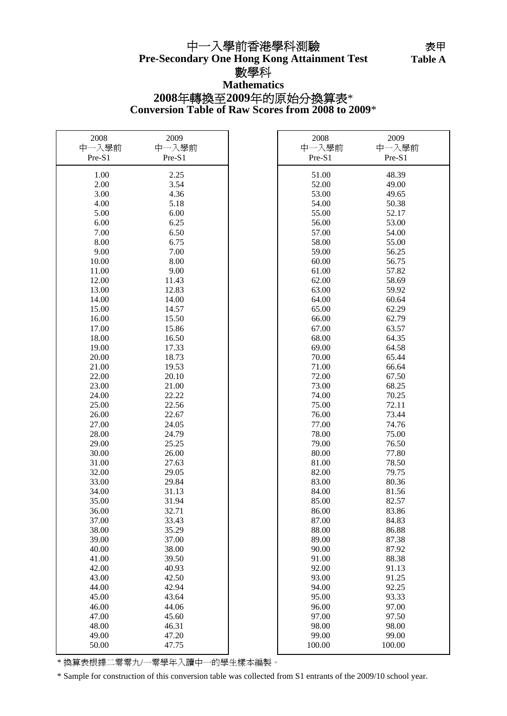## **2008**年轉換至**2009**年的原始分換算表\* **Pre-Secondary One Hong Kong Attainment Test** 中一入學前香港學科測驗 數學科 **Mathematics**

**Conversion Table of Raw Scores from 2008 to 2009**\*

| 2008   | 2009   | 2008   | 2009   |
|--------|--------|--------|--------|
| 中一入學前  | 中一入學前  | 中一入學前  | 中一入學前  |
| Pre-S1 | Pre-S1 | Pre-S1 | Pre-S1 |
| 1.00   | 2.25   | 51.00  | 48.39  |
| 2.00   | 3.54   | 52.00  | 49.00  |
| 3.00   | 4.36   | 53.00  | 49.65  |
| 4.00   | 5.18   | 54.00  | 50.38  |
| 5.00   | 6.00   | 55.00  | 52.17  |
| 6.00   | 6.25   | 56.00  | 53.00  |
| 7.00   | 6.50   | 57.00  | 54.00  |
| 8.00   | 6.75   | 58.00  | 55.00  |
| 9.00   | 7.00   | 59.00  | 56.25  |
|        |        |        |        |
| 10.00  | 8.00   | 60.00  | 56.75  |
| 11.00  | 9.00   | 61.00  | 57.82  |
| 12.00  | 11.43  | 62.00  | 58.69  |
| 13.00  | 12.83  | 63.00  | 59.92  |
| 14.00  | 14.00  | 64.00  | 60.64  |
| 15.00  | 14.57  | 65.00  | 62.29  |
| 16.00  | 15.50  | 66.00  | 62.79  |
| 17.00  | 15.86  | 67.00  | 63.57  |
| 18.00  | 16.50  | 68.00  | 64.35  |
| 19.00  | 17.33  | 69.00  | 64.58  |
| 20.00  | 18.73  | 70.00  | 65.44  |
| 21.00  | 19.53  | 71.00  | 66.64  |
| 22.00  | 20.10  | 72.00  | 67.50  |
| 23.00  | 21.00  | 73.00  | 68.25  |
| 24.00  | 22.22  | 74.00  | 70.25  |
| 25.00  | 22.56  | 75.00  | 72.11  |
| 26.00  | 22.67  | 76.00  | 73.44  |
| 27.00  | 24.05  | 77.00  | 74.76  |
| 28.00  | 24.79  | 78.00  | 75.00  |
| 29.00  | 25.25  | 79.00  | 76.50  |
| 30.00  | 26.00  | 80.00  | 77.80  |
| 31.00  | 27.63  | 81.00  | 78.50  |
| 32.00  | 29.05  | 82.00  | 79.75  |
| 33.00  | 29.84  | 83.00  | 80.36  |
| 34.00  | 31.13  | 84.00  | 81.56  |
| 35.00  | 31.94  | 85.00  | 82.57  |
| 36.00  | 32.71  | 86.00  | 83.86  |
| 37.00  | 33.43  | 87.00  | 84.83  |
| 38.00  | 35.29  | 88.00  | 86.88  |
| 39.00  | 37.00  | 89.00  | 87.38  |
| 40.00  | 38.00  | 90.00  | 87.92  |
| 41.00  | 39.50  | 91.00  | 88.38  |
| 42.00  | 40.93  | 92.00  | 91.13  |
| 43.00  | 42.50  | 93.00  | 91.25  |
| 44.00  | 42.94  | 94.00  | 92.25  |
| 45.00  | 43.64  | 95.00  | 93.33  |
| 46.00  | 44.06  | 96.00  | 97.00  |
| 47.00  | 45.60  | 97.00  | 97.50  |
| 48.00  | 46.31  | 98.00  | 98.00  |
| 49.00  | 47.20  | 99.00  | 99.00  |
| 50.00  | 47.75  | 100.00 | 100.00 |

\* 換算表根據二零零九/一零學年入讀中一的學生樣本編製。